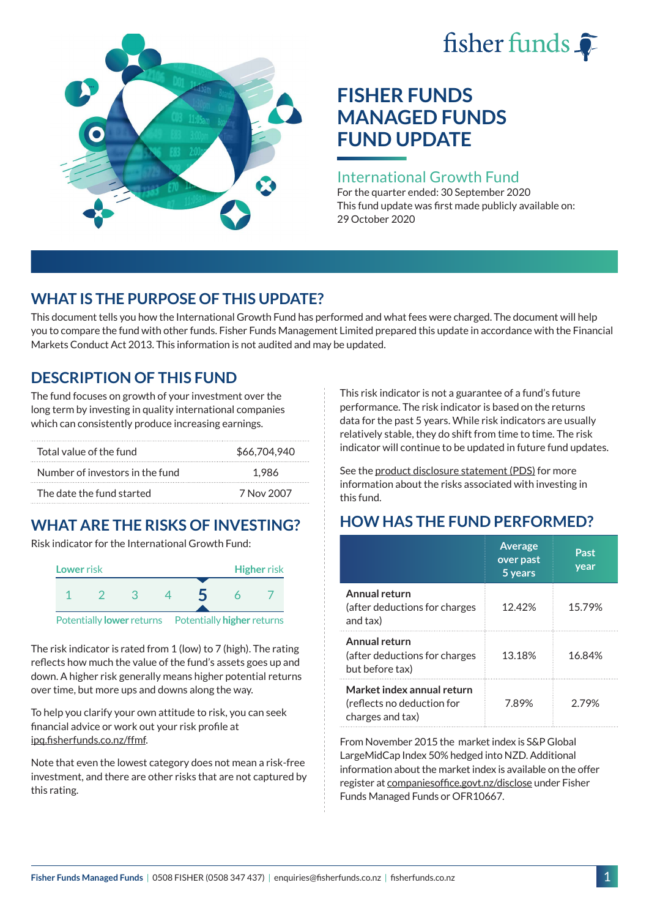# fisher funds  $\hat{\bullet}$



## **FISHER FUNDS MANAGED FUNDS FUND UPDATE**

#### International Growth Fund

For the quarter ended: 30 September 2020 This fund update was first made publicly available on: 29 October 2020

## **WHAT IS THE PURPOSE OF THIS UPDATE?**

This document tells you how the International Growth Fund has performed and what fees were charged. The document will help you to compare the fund with other funds. Fisher Funds Management Limited prepared this update in accordance with the Financial Markets Conduct Act 2013. This information is not audited and may be updated.

## **DESCRIPTION OF THIS FUND**

The fund focuses on growth of your investment over the long term by investing in quality international companies which can consistently produce increasing earnings.

| Total value of the fund         | \$66,704,940 |
|---------------------------------|--------------|
| Number of investors in the fund | 1.986        |
| The date the fund started       | 7 Nov 2007   |

## **WHAT ARE THE RISKS OF INVESTING?**

Risk indicator for the International Growth Fund:



The risk indicator is rated from 1 (low) to 7 (high). The rating reflects how much the value of the fund's assets goes up and down. A higher risk generally means higher potential returns over time, but more ups and downs along the way.

To help you clarify your own attitude to risk, you can seek financial advice or work out your risk profile at [ipq.fisherfunds.co.nz/ffmf](https://ipq.fisherfunds.co.nz/ffmf).

Note that even the lowest category does not mean a risk-free investment, and there are other risks that are not captured by this rating.

This risk indicator is not a guarantee of a fund's future performance. The risk indicator is based on the returns data for the past 5 years. While risk indicators are usually relatively stable, they do shift from time to time. The risk indicator will continue to be updated in future fund updates.

See the [product disclosure statement \(PDS\)](https://fisherfunds.co.nz/assets/PDS/Fisher-Funds-Managed-Funds-PDS.pdf) for more information about the risks associated with investing in this fund.

## **HOW HAS THE FUND PERFORMED?**

|                                                                              | <b>Average</b><br>over past<br>5 years | Past<br>year |
|------------------------------------------------------------------------------|----------------------------------------|--------------|
| Annual return<br>(after deductions for charges<br>and tax)                   | 12.42%                                 | 15.79%       |
| Annual return<br>(after deductions for charges<br>but before tax)            | 13.18%                                 | 16.84%       |
| Market index annual return<br>(reflects no deduction for<br>charges and tax) | 7.89%                                  | 2.79%        |

From November 2015 the market index is S&P Global LargeMidCap Index 50% hedged into NZD. Additional information about the market index is available on the offer register at [companiesoffice.govt.nz/disclose](http://companiesoffice.govt.nz/disclose) under Fisher Funds Managed Funds or OFR10667.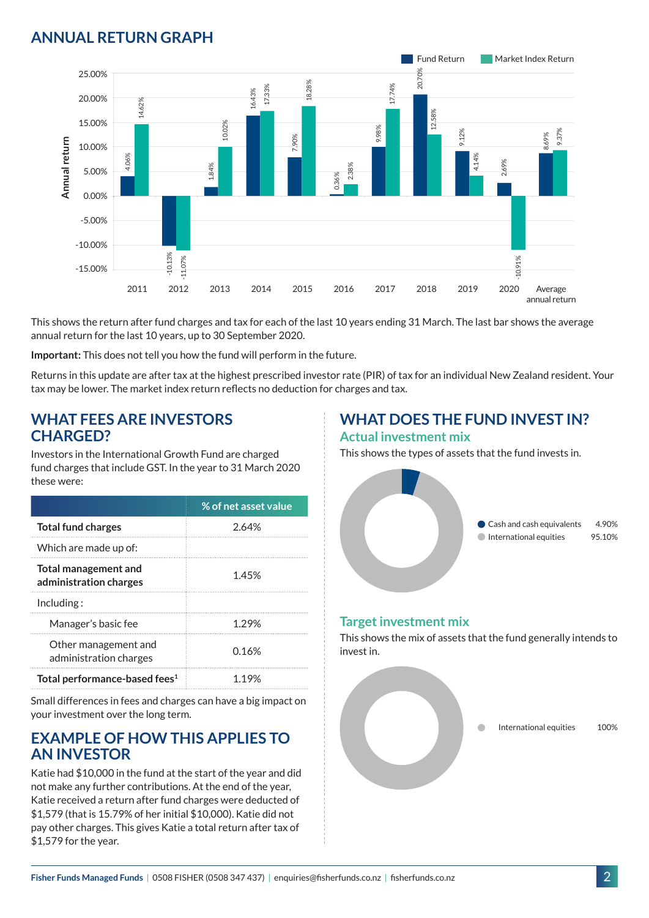### **ANNUAL RETURN GRAPH**



This shows the return after fund charges and tax for each of the last 10 years ending 31 March. The last bar shows the average annual return for the last 10 years, up to 30 September 2020.

**Important:** This does not tell you how the fund will perform in the future.

Returns in this update are after tax at the highest prescribed investor rate (PIR) of tax for an individual New Zealand resident. Your tax may be lower. The market index return reflects no deduction for charges and tax.

#### **WHAT FEES ARE INVESTORS CHARGED?**

Investors in the International Growth Fund are charged fund charges that include GST. In the year to 31 March 2020 these were:

|                                                | % of net asset value |
|------------------------------------------------|----------------------|
| <b>Total fund charges</b>                      | 2.64%                |
| Which are made up of:                          |                      |
| Total management and<br>administration charges | 1.45%                |
| Inding:                                        |                      |
| Manager's basic fee                            | 1.29%                |
| Other management and<br>administration charges | 0.16%                |
| Total performance-based fees <sup>1</sup>      | 1.19%                |

Small differences in fees and charges can have a big impact on your investment over the long term.

#### **EXAMPLE OF HOW THIS APPLIES TO AN INVESTOR**

Katie had \$10,000 in the fund at the start of the year and did not make any further contributions. At the end of the year, Katie received a return after fund charges were deducted of \$1,579 (that is 15.79% of her initial \$10,000). Katie did not pay other charges. This gives Katie a total return after tax of \$1,579 for the year.

## **WHAT DOES THE FUND INVEST IN?**

#### **Actual investment mix**

This shows the types of assets that the fund invests in.



#### **Target investment mix**

This shows the mix of assets that the fund generally intends to invest in.